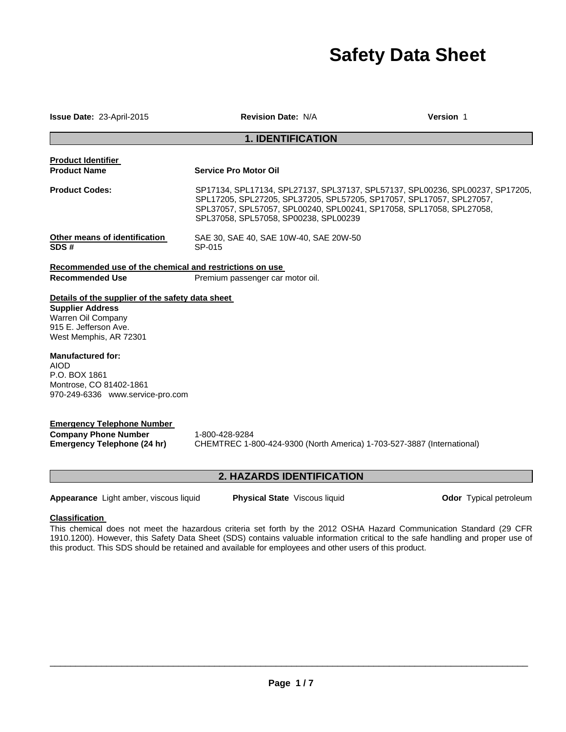# **Safety Data Sheet**

**Issue Date:** 23-April-2015 **Revision Date:** N/A **Version** 1

# **1. IDENTIFICATION**

| <b>Product Identifier</b>                                                                                                                                                                                                                                                       |                                                                                                                                                                                                                                                                        |
|---------------------------------------------------------------------------------------------------------------------------------------------------------------------------------------------------------------------------------------------------------------------------------|------------------------------------------------------------------------------------------------------------------------------------------------------------------------------------------------------------------------------------------------------------------------|
| <b>Product Name</b>                                                                                                                                                                                                                                                             | <b>Service Pro Motor Oil</b>                                                                                                                                                                                                                                           |
| <b>Product Codes:</b>                                                                                                                                                                                                                                                           | SP17134, SPL17134, SPL27137, SPL37137, SPL57137, SPL00236, SPL00237, SP17205,<br>SPL17205, SPL27205, SPL37205, SPL57205, SP17057, SPL17057, SPL27057,<br>SPL37057, SPL57057, SPL00240, SPL00241, SP17058, SPL17058, SPL27058,<br>SPL37058, SPL57058, SP00238, SPL00239 |
| Other means of identification<br>SDS#                                                                                                                                                                                                                                           | SAE 30, SAE 40, SAE 10W-40, SAE 20W-50<br>SP-015                                                                                                                                                                                                                       |
| Recommended use of the chemical and restrictions on use                                                                                                                                                                                                                         |                                                                                                                                                                                                                                                                        |
| <b>Recommended Use</b>                                                                                                                                                                                                                                                          | Premium passenger car motor oil.                                                                                                                                                                                                                                       |
| Details of the supplier of the safety data sheet<br><b>Supplier Address</b><br>Warren Oil Company<br>915 E. Jefferson Ave.<br>West Memphis, AR 72301<br><b>Manufactured for:</b><br><b>AIOD</b><br>P.O. BOX 1861<br>Montrose, CO 81402-1861<br>970-249-6336 www.service-pro.com |                                                                                                                                                                                                                                                                        |
| <b>Emergency Telephone Number</b><br><b>Company Phone Number</b><br>Emergency Telephone (24 hr)                                                                                                                                                                                 | 1-800-428-9284<br>CHEMTREC 1-800-424-9300 (North America) 1-703-527-3887 (International)                                                                                                                                                                               |

# **2. HAZARDS IDENTIFICATION**

Appearance Light amber, viscous liquid **Physical State** Viscous liquid **Odor Typical petroleum** 

# **Classification**

This chemical does not meet the hazardous criteria set forth by the 2012 OSHA Hazard Communication Standard (29 CFR 1910.1200). However, this Safety Data Sheet (SDS) contains valuable information critical to the safe handling and proper use of this product. This SDS should be retained and available for employees and other users of this product.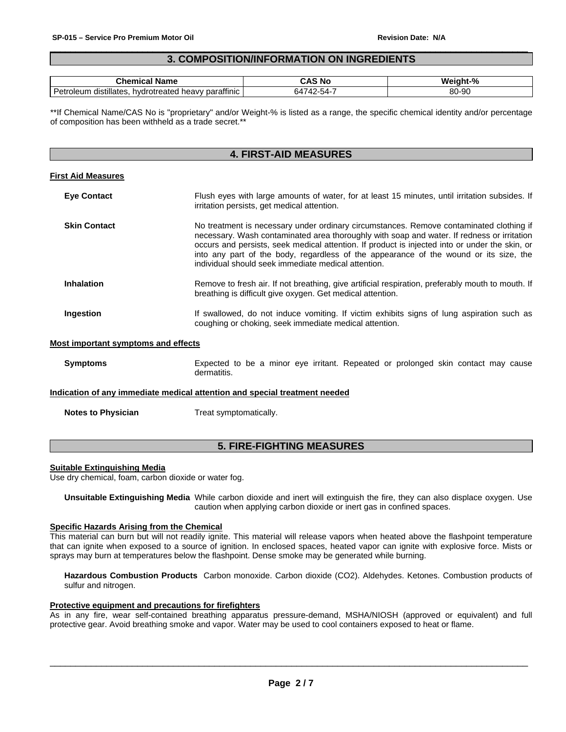# $\Box$ **3. COMPOSITION/INFORMATION ON INGREDIENTS**

| Name<br>$\mathsf{u}$ ner $\mathsf{u}$<br>.com                                                              | - - -<br>N.   | $-$ %<br>w<br>าเ-  |
|------------------------------------------------------------------------------------------------------------|---------------|--------------------|
| $\overline{\phantom{a}}$<br><br>parattinic<br>*otreateo<br>distillates.<br>hvdr.<br>Petr<br>oleum<br>heavv | $\sim$ $\sim$ | o٨<br>nr.<br>๐∪-๖∪ |

\*\*If Chemical Name/CAS No is "proprietary" and/or Weight-% is listed as a range, the specific chemical identity and/or percentage of composition has been withheld as a trade secret.\*\*

# **4. FIRST-AID MEASURES**

## **First Aid Measures**

| <b>Eye Contact</b>  | Flush eyes with large amounts of water, for at least 15 minutes, until irritation subsides. If<br>irritation persists, get medical attention.                                                                                                                                                                                                                                                                                           |
|---------------------|-----------------------------------------------------------------------------------------------------------------------------------------------------------------------------------------------------------------------------------------------------------------------------------------------------------------------------------------------------------------------------------------------------------------------------------------|
| <b>Skin Contact</b> | No treatment is necessary under ordinary circumstances. Remove contaminated clothing if<br>necessary. Wash contaminated area thoroughly with soap and water. If redness or irritation<br>occurs and persists, seek medical attention. If product is injected into or under the skin, or<br>into any part of the body, regardless of the appearance of the wound or its size, the<br>individual should seek immediate medical attention. |
| <b>Inhalation</b>   | Remove to fresh air. If not breathing, give artificial respiration, preferably mouth to mouth. If<br>breathing is difficult give oxygen. Get medical attention.                                                                                                                                                                                                                                                                         |
| Ingestion           | If swallowed, do not induce vomiting. If victim exhibits signs of lung aspiration such as<br>coughing or choking, seek immediate medical attention.                                                                                                                                                                                                                                                                                     |

#### **Most important symptoms and effects**

**Symptoms Expected to be a minor eye irritant. Repeated or prolonged skin contact may cause** dermatitis.

#### **Indication of any immediate medical attention and special treatment needed**

**Notes to Physician**  Treat symptomatically.

# **5. FIRE-FIGHTING MEASURES**

#### **Suitable Extinguishing Media**

Use dry chemical, foam, carbon dioxide or water fog.

**Unsuitable Extinguishing Media** While carbon dioxide and inert will extinguish the fire, they can also displace oxygen. Use caution when applying carbon dioxide or inert gas in confined spaces.

#### **Specific Hazards Arising from the Chemical**

This material can burn but will not readily ignite. This material will release vapors when heated above the flashpoint temperature that can ignite when exposed to a source of ignition. In enclosed spaces, heated vapor can ignite with explosive force. Mists or sprays may burn at temperatures below the flashpoint. Dense smoke may be generated while burning.

**Hazardous Combustion Products** Carbon monoxide. Carbon dioxide (CO2). Aldehydes. Ketones. Combustion products of sulfur and nitrogen.

## **Protective equipment and precautions for firefighters**

As in any fire, wear self-contained breathing apparatus pressure-demand, MSHA/NIOSH (approved or equivalent) and full protective gear. Avoid breathing smoke and vapor. Water may be used to cool containers exposed to heat or flame.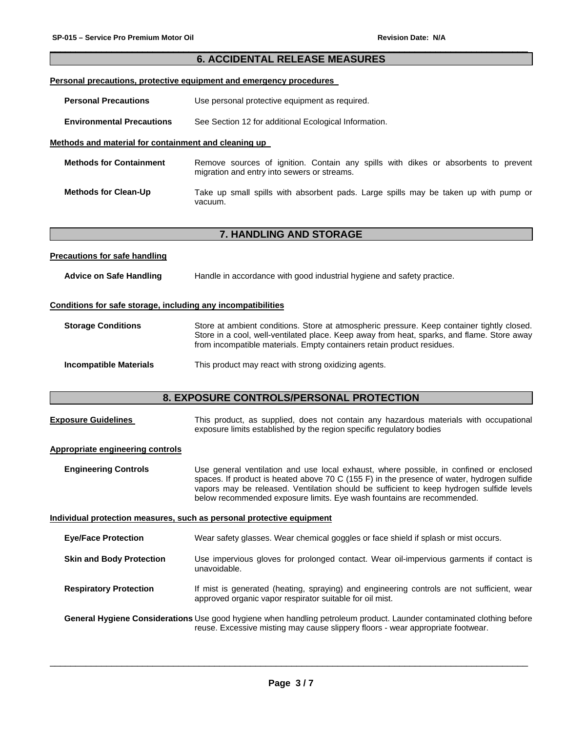# $\Box$ **6. ACCIDENTAL RELEASE MEASURES**

# **Personal precautions, protective equipment and emergency procedures**

**Personal Precautions** Use personal protective equipment as required.

**Environmental Precautions** See Section 12 for additional Ecological Information.

## **Methods and material for containment and cleaning up**

| <b>Methods for Containment</b> | Remove sources of ignition. Contain any spills with dikes or absorbents to prevent<br>migration and entry into sewers or streams. |  |  |  |  |  |  |  |
|--------------------------------|-----------------------------------------------------------------------------------------------------------------------------------|--|--|--|--|--|--|--|
| <b>Methods for Clean-Up</b>    | Take up small spills with absorbent pads. Large spills may be taken up with pump or<br>vacuum.                                    |  |  |  |  |  |  |  |

# **7. HANDLING AND STORAGE**

#### **Precautions for safe handling**

**Advice on Safe Handling** Handle in accordance with good industrial hygiene and safety practice.

## **Conditions for safe storage, including any incompatibilities**

| <b>Storage Conditions</b> | Store at ambient conditions. Store at atmospheric pressure. Keep container tightly closed. |
|---------------------------|--------------------------------------------------------------------------------------------|
|                           | Store in a cool, well-ventilated place. Keep away from heat, sparks, and flame. Store away |
|                           | from incompatible materials. Empty containers retain product residues.                     |
|                           |                                                                                            |

**Incompatible Materials** This product may react with strong oxidizing agents.

# **8. EXPOSURE CONTROLS/PERSONAL PROTECTION**

| <b>Exposure Guidelines</b>       | This product, as supplied, does not contain any hazardous materials with occupational<br>exposure limits established by the region specific regulatory bodies                                                                                                                                                                                              |
|----------------------------------|------------------------------------------------------------------------------------------------------------------------------------------------------------------------------------------------------------------------------------------------------------------------------------------------------------------------------------------------------------|
| Appropriate engineering controls |                                                                                                                                                                                                                                                                                                                                                            |
| <b>Engineering Controls</b>      | Use general ventilation and use local exhaust, where possible, in confined or enclosed<br>spaces. If product is heated above 70 C (155 F) in the presence of water, hydrogen sulfide<br>vapors may be released. Ventilation should be sufficient to keep hydrogen sulfide levels<br>below recommended exposure limits. Eye wash fountains are recommended. |
|                                  | Individual protection measures, such as personal protective equipment                                                                                                                                                                                                                                                                                      |
| <b>Eye/Face Protection</b>       | Wear safety glasses. Wear chemical goggles or face shield if splash or mist occurs.                                                                                                                                                                                                                                                                        |
| <b>Skin and Body Protection</b>  | Use impervious gloves for prolonged contact. Wear oil-impervious garments if contact is<br>unavoidable.                                                                                                                                                                                                                                                    |
| <b>Respiratory Protection</b>    | If mist is generated (heating, spraying) and engineering controls are not sufficient, wear<br>approved organic vapor respirator suitable for oil mist.                                                                                                                                                                                                     |
|                                  | General Hygiene Considerations Use good hygiene when handling petroleum product. Launder contaminated clothing before<br>reuse. Excessive misting may cause slippery floors - wear appropriate footwear.                                                                                                                                                   |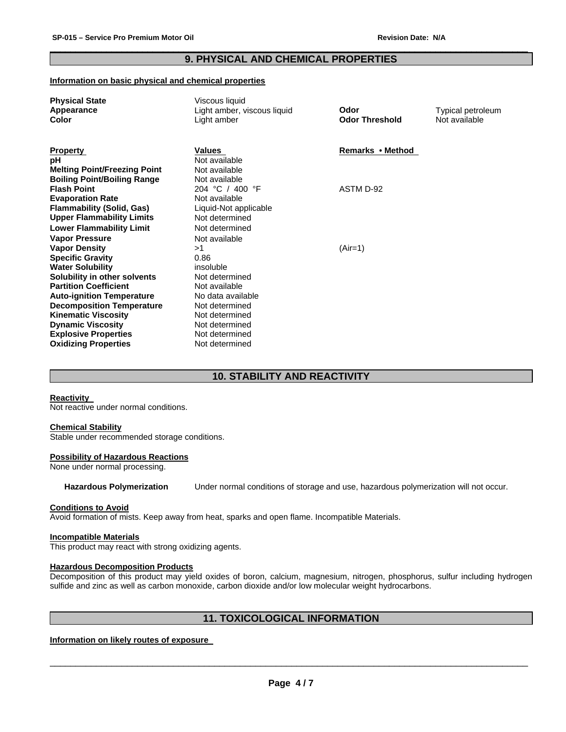# $\Box$ **9. PHYSICAL AND CHEMICAL PROPERTIES**

## **Information on basic physical and chemical properties**

| <b>Physical State</b>               | Viscous liquid              |                       |                   |
|-------------------------------------|-----------------------------|-----------------------|-------------------|
| Appearance                          | Light amber, viscous liquid | Odor                  | Typical petroleum |
| Color                               | Light amber                 | <b>Odor Threshold</b> | Not available     |
|                                     |                             |                       |                   |
|                                     |                             |                       |                   |
| <b>Property</b>                     | <b>Values</b>               | Remarks • Method      |                   |
| рH                                  | Not available               |                       |                   |
| <b>Melting Point/Freezing Point</b> | Not available               |                       |                   |
| <b>Boiling Point/Boiling Range</b>  | Not available               |                       |                   |
| <b>Flash Point</b>                  | 204 °C / 400 °F             | ASTM D-92             |                   |
| <b>Evaporation Rate</b>             | Not available               |                       |                   |
| <b>Flammability (Solid, Gas)</b>    | Liquid-Not applicable       |                       |                   |
| <b>Upper Flammability Limits</b>    | Not determined              |                       |                   |
| <b>Lower Flammability Limit</b>     | Not determined              |                       |                   |
| <b>Vapor Pressure</b>               | Not available               |                       |                   |
| <b>Vapor Density</b>                | >1                          | $(Air=1)$             |                   |
| <b>Specific Gravity</b>             | 0.86                        |                       |                   |
| <b>Water Solubility</b>             | insoluble                   |                       |                   |
| Solubility in other solvents        | Not determined              |                       |                   |
| <b>Partition Coefficient</b>        | Not available               |                       |                   |
| <b>Auto-ignition Temperature</b>    | No data available           |                       |                   |
| <b>Decomposition Temperature</b>    | Not determined              |                       |                   |
| <b>Kinematic Viscosity</b>          | Not determined              |                       |                   |
| <b>Dynamic Viscosity</b>            | Not determined              |                       |                   |
| <b>Explosive Properties</b>         | Not determined              |                       |                   |
| <b>Oxidizing Properties</b>         | Not determined              |                       |                   |
|                                     |                             |                       |                   |

# **10. STABILITY AND REACTIVITY**

# **Reactivity**

Not reactive under normal conditions.

#### **Chemical Stability**

Stable under recommended storage conditions.

#### **Possibility of Hazardous Reactions**

None under normal processing.

**Hazardous Polymerization** Under normal conditions of storage and use, hazardous polymerization will not occur.

#### **Conditions to Avoid**

Avoid formation of mists. Keep away from heat, sparks and open flame. Incompatible Materials.

#### **Incompatible Materials**

This product may react with strong oxidizing agents.

#### **Hazardous Decomposition Products**

Decomposition of this product may yield oxides of boron, calcium, magnesium, nitrogen, phosphorus, sulfur including hydrogen sulfide and zinc as well as carbon monoxide, carbon dioxide and/or low molecular weight hydrocarbons.

# **11. TOXICOLOGICAL INFORMATION**

# **Information on likely routes of exposure**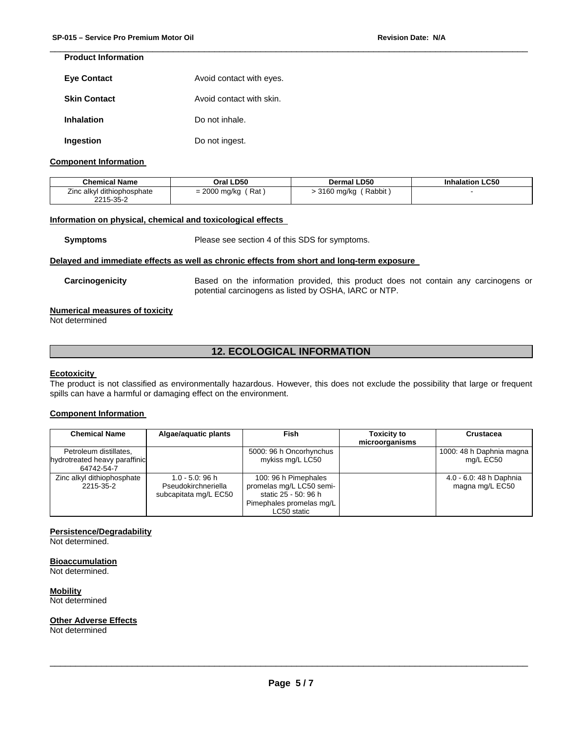# **Product Information**

| <b>Eye Contact</b>  | Avoid contact with eyes. |
|---------------------|--------------------------|
| <b>Skin Contact</b> | Avoid contact with skin. |
| <b>Inhalation</b>   | Do not inhale.           |
| Ingestion           | Do not ingest.           |

## **Component Information**

| <b>Chemical Name</b>       | Oral LD50      | Dermal LD50  | <b>Inhalation LC50</b> |
|----------------------------|----------------|--------------|------------------------|
| Zinc alkyl dithiophosphate | Rat            | (Rabbit      |                        |
| 2215-35-2                  | $= 2000$ mg/kg | - 3160 mg/kg |                        |

 $\Box$ 

#### **Information on physical, chemical and toxicological effects**

**Symptoms** Please see section 4 of this SDS for symptoms.

#### **Delayed and immediate effects as well as chronic effects from short and long-term exposure**

**Carcinogenicity** Based on the information provided, this product does not contain any carcinogens or potential carcinogens as listed by OSHA, IARC or NTP.

# **Numerical measures of toxicity**

Not determined

# **12. ECOLOGICAL INFORMATION**

#### **Ecotoxicity**

The product is not classified as environmentally hazardous. However, this does not exclude the possibility that large or frequent spills can have a harmful or damaging effect on the environment.

## **Component Information**

| <b>Chemical Name</b>                                                  | Algae/aguatic plants                                               | <b>Fish</b>                                                                                                         | <b>Toxicity to</b><br>microorganisms | Crustacea                                  |
|-----------------------------------------------------------------------|--------------------------------------------------------------------|---------------------------------------------------------------------------------------------------------------------|--------------------------------------|--------------------------------------------|
| Petroleum distillates,<br>hydrotreated heavy paraffinic<br>64742-54-7 |                                                                    | 5000: 96 h Oncorhynchus<br>mykiss mg/L LC50                                                                         |                                      | 1000: 48 h Daphnia magna<br>mg/L EC50      |
| Zinc alkyl dithiophosphate<br>2215-35-2                               | $1.0 - 5.0$ : 96 h<br>Pseudokirchneriella<br>subcapitata mg/L EC50 | 100: 96 h Pimephales<br>promelas mg/L LC50 semi-<br>static 25 - 50: 96 h<br>Pimephales promelas mg/L<br>LC50 static |                                      | 4.0 - 6.0: 48 h Daphnia<br>magna mg/L EC50 |

## **Persistence/Degradability**

Not determined.

#### **Bioaccumulation**

Not determined.

**Mobility**

Not determined

## **Other Adverse Effects**

Not determined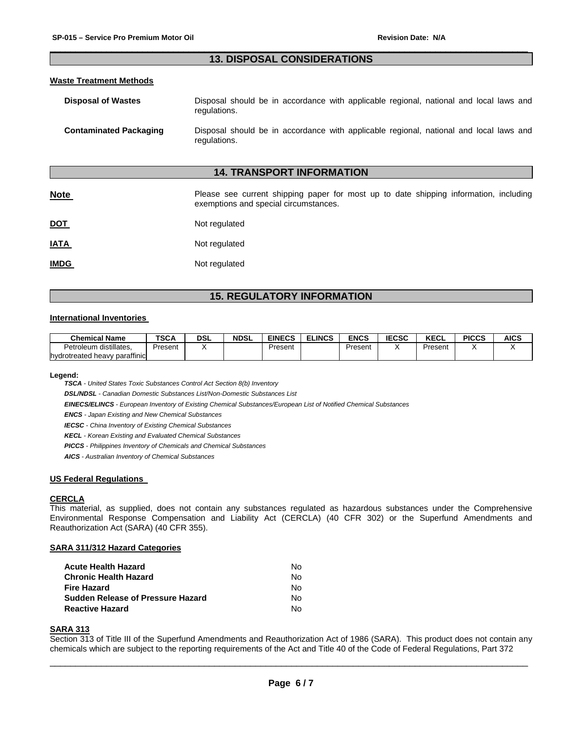# $\Box$ **13. DISPOSAL CONSIDERATIONS**

# **Waste Treatment Methods**

| <b>Disposal of Wastes</b>     | regulations. |  | Disposal should be in accordance with applicable regional, national and local laws and |  |  |  |  |
|-------------------------------|--------------|--|----------------------------------------------------------------------------------------|--|--|--|--|
| <b>Contaminated Packaging</b> |              |  | Disposal should be in accordance with applicable regional, national and local laws and |  |  |  |  |

# **14. TRANSPORT INFORMATION**

| <u>Note</u> | Please see current shipping paper for most up to date shipping information, including<br>exemptions and special circumstances. |
|-------------|--------------------------------------------------------------------------------------------------------------------------------|
| <b>DOT</b>  | Not regulated                                                                                                                  |
| <b>IATA</b> | Not regulated                                                                                                                  |
| <b>IMDG</b> | Not regulated                                                                                                                  |

# **15. REGULATORY INFORMATION**

#### **International Inventories**

| <b>Chemical Name</b>          | <b>TSCA</b> | DSL | <b>NDSL</b> | <b>EINECS</b> | <b>ELINCS</b> | <b>ENCS</b> | <b>IECSC</b> | <b>VECI</b><br>ncul | <b>PICCS</b> | AICS |
|-------------------------------|-------------|-----|-------------|---------------|---------------|-------------|--------------|---------------------|--------------|------|
| distillates.<br>Petroleum     | Present     |     |             | Present       |               | Present     |              | Present             |              |      |
| hydrotreated heavy paraffinic |             |     |             |               |               |             |              |                     |              |      |

**Legend:** 

*TSCA - United States Toxic Substances Control Act Section 8(b) Inventory* 

*DSL/NDSL - Canadian Domestic Substances List/Non-Domestic Substances List* 

*EINECS/ELINCS - European Inventory of Existing Chemical Substances/European List of Notified Chemical Substances* 

regulations.

*ENCS - Japan Existing and New Chemical Substances* 

*IECSC - China Inventory of Existing Chemical Substances* 

*KECL - Korean Existing and Evaluated Chemical Substances* 

*PICCS - Philippines Inventory of Chemicals and Chemical Substances* 

*AICS - Australian Inventory of Chemical Substances* 

#### **US Federal Regulations**

#### **CERCLA**

This material, as supplied, does not contain any substances regulated as hazardous substances under the Comprehensive Environmental Response Compensation and Liability Act (CERCLA) (40 CFR 302) or the Superfund Amendments and Reauthorization Act (SARA) (40 CFR 355).

#### **SARA 311/312 Hazard Categories**

| Acute Health Hazard               | Nο  |
|-----------------------------------|-----|
| Chronic Health Hazard             | Nο  |
| Fire Hazard                       | Nο  |
| Sudden Release of Pressure Hazard | No. |
| Reactive Hazard                   | N٥  |

# **SARA 313**

Section 313 of Title III of the Superfund Amendments and Reauthorization Act of 1986 (SARA). This product does not contain any chemicals which are subject to the reporting requirements of the Act and Title 40 of the Code of Federal Regulations, Part 372